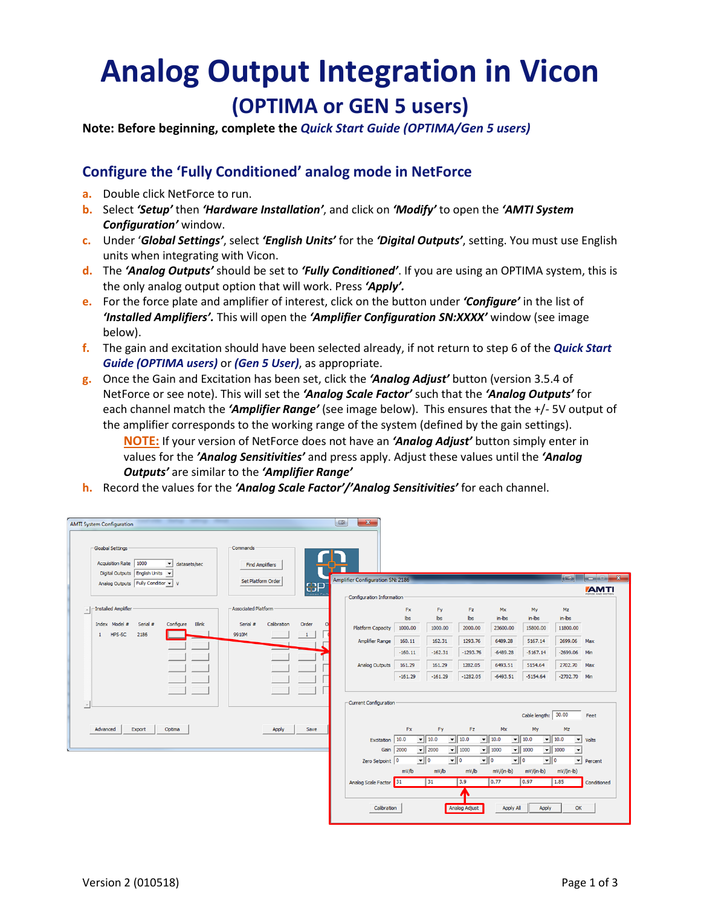## **Analog Output Integration in Vicon (OPTIMA or GEN 5 users)**

**Note: Before beginning, complete the** *Quick Start Guide (OPTIMA/Gen 5 users)*

## **Configure the 'Fully Conditioned' analog mode in NetForce**

- **a.** Double click NetForce to run.
- **b.** Select *'Setup'* then *'Hardware Installation'*, and click on *'Modify'* to open the *'AMTI System Configuration'* window.
- **c.** Under '*Global Settings'*, select *'English Units'* for the *'Digital Outputs'*, setting. You must use English units when integrating with Vicon.
- **d.** The *'Analog Outputs'* should be set to *'Fully Conditioned'*. If you are using an OPTIMA system, this is the only analog output option that will work. Press *'Apply'.*
- **e.** For the force plate and amplifier of interest, click on the button under *'Configure'* in the list of *'Installed Amplifiers'.* This will open the *'Amplifier Configuration SN:XXXX'* window (see image below).
- **f.** The gain and excitation should have been selected already, if not return to step 6 of the *Quick Start Guide (OPTIMA users)* or *(Gen 5 User)*, as appropriate.
- **g.** Once the Gain and Excitation has been set, click the *'Analog Adjust'* button (version 3.5.4 of NetForce or see note). This will set the *'Analog Scale Factor'* such that the *'Analog Outputs'* for each channel match the *'Amplifier Range'* (see image below). This ensures that the +/- 5V output of the amplifier corresponds to the working range of the system (defined by the gain settings).

**NOTE:** If your version of NetForce does not have an *'Analog Adjust'* button simply enter in values for the *'Analog Sensitivities'* and press apply. Adjust these values until the *'Analog Outputs'* are similar to the *'Amplifier Range'*

**h.** Record the values for the *'Analog Scale Factor'/'Analog Sensitivities'* for each channel.

| -Gloabal Settings<br>Acquisition Rate   1000<br>v datasets/sec      | Commands<br><b>Find Amplifiers</b>           |                                         |                       |                                            |                           |                                            |                           |                                        |                                            |
|---------------------------------------------------------------------|----------------------------------------------|-----------------------------------------|-----------------------|--------------------------------------------|---------------------------|--------------------------------------------|---------------------------|----------------------------------------|--------------------------------------------|
| Digital Outputs English Units<br>Analog Outputs Fully Condition v V | <b>Set Platform Order</b>                    | <b>Amplifier Configuration SN: 2186</b> |                       |                                            |                           |                                            |                           | $\left\  \cdot \right\ $               | $\  \_ \ $ $\_$ $\_$                       |
|                                                                     | <mark>金P</mark>                              |                                         |                       |                                            |                           |                                            |                           |                                        | <b>AMTI</b><br><b>PERMITE AAN'S NATURE</b> |
|                                                                     |                                              | Configuration Information               |                       |                                            |                           |                                            |                           |                                        |                                            |
| -Installed Amplifier                                                | <b>Associated Platform</b>                   |                                         | <b>Fx</b>             | Fy                                         | Fz.                       | Mx                                         | My                        | Mz                                     |                                            |
| Configure<br>Index Model #<br>Serial #<br>Blink                     | Calibration<br>Serial #<br>Order<br>$\Omega$ | <b>Platform Capacity</b>                | <b>lbs</b><br>1000.00 | lbs<br>1000.00                             | <b>lbs</b><br>2000.00     | in-lbs<br>23600.00                         | in-lbs<br>15800.00        | in-lbs<br>11800.00                     |                                            |
| 2186<br>HPS-SC<br>$\mathbf{1}$                                      | 9910M<br>$\mathbf{1}$                        |                                         |                       |                                            |                           |                                            |                           |                                        |                                            |
|                                                                     |                                              | Amplifier Range                         | 160.11                | 162.31                                     | 1293.76                   | 6489.28                                    | 5167.14                   | 2699.06                                | Max                                        |
|                                                                     |                                              |                                         | $-160.11$             | $-162.31$                                  | $-1293.76$                | $-6489.28$                                 | $-5167.14$                | $-2699.06$                             | Min                                        |
|                                                                     |                                              | <b>Analog Outputs</b>                   | 161.29                | 161.29                                     | 1282.05                   | 6493.51                                    | 5154.64                   | 2702.70                                | Max                                        |
|                                                                     |                                              |                                         | $-161.29$             | $-161.29$                                  | $-1282.05$                | $-6493.51$                                 | $-5154.64$                | -2702.70 Min                           |                                            |
|                                                                     |                                              |                                         |                       |                                            |                           |                                            |                           |                                        |                                            |
|                                                                     |                                              | Current Configuration                   |                       |                                            |                           |                                            |                           |                                        |                                            |
|                                                                     |                                              |                                         |                       |                                            |                           |                                            | Cable length: 30.00       |                                        | Feet                                       |
| Advanced<br>Export<br>Optima                                        | Apply<br>Save                                |                                         | <b>Fx</b>             | Fy                                         | Fz                        | Mx                                         | My                        | Mz                                     |                                            |
|                                                                     |                                              | Excitation                              | 10.0                  | $-$ 10.0                                   | $\blacktriangledown$ 10.0 | $- 10.0$                                   | $-$ 10.0                  | $-$ 10.0<br>$\mathbf{v}$               | Volts                                      |
|                                                                     |                                              | Gain                                    | 2000                  | $\blacktriangledown$ 2000                  | $\blacktriangledown$ 1000 | $-$ 1000                                   | $\blacktriangledown$ 1000 | $\bullet$ 1000<br>$\blacktriangledown$ |                                            |
|                                                                     |                                              | Zero Setpoint 0                         |                       | $\mathbf{v}$ 0<br>$\overline{\phantom{0}}$ |                           | $\overline{\phantom{0}}$<br>$\mathbf{v}$ 0 | $\overline{\bullet}$ 0    | $\mathbf{v}$                           | Percent                                    |
|                                                                     |                                              |                                         | mV/lb                 | mV/lb                                      | mV/lb                     | $mV/(in-lb)$                               | $mV/(in-lb)$              | $mV/(in-lb)$                           |                                            |
|                                                                     |                                              | Analog Scale Factor                     | 31                    | 31                                         | 3.9                       | 0.77                                       | 0.97                      | 1.85                                   | Conditioned                                |
|                                                                     |                                              |                                         |                       |                                            |                           |                                            |                           |                                        |                                            |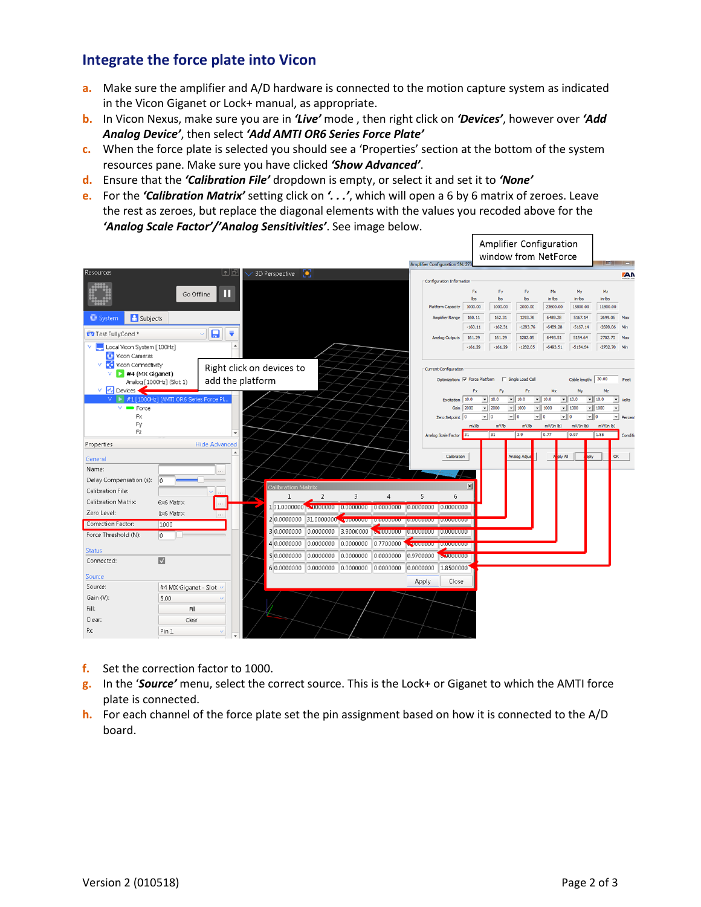## **Integrate the force plate into Vicon**

- **a.** Make sure the amplifier and A/D hardware is connected to the motion capture system as indicated in the Vicon Giganet or Lock+ manual, as appropriate.
- **b.** In Vicon Nexus, make sure you are in *'Live'* mode , then right click on *'Devices'*, however over *'Add Analog Device'*, then select *'Add AMTI OR6 Series Force Plate'*
- **c.** When the force plate is selected you should see a 'Properties' section at the bottom of the system resources pane. Make sure you have clicked *'Show Advanced'*.
- **d.** Ensure that the *'Calibration File'* dropdown is empty, or select it and set it to *'None'*
- **e.** For the *'Calibration Matrix'* setting click on *'. . .'*, which will open a 6 by 6 matrix of zeroes. Leave the rest as zeroes, but replace the diagonal elements with the values you recoded above for the *'Analog Scale Factor'/'Analog Sensitivities'*. See image below.

|                                                                                                                           |                                         |                                                  |                                 |                |                |                                   |           | <b>Amplifier Configuration SN: 27</b>          |                                   | Amplifier Configuration<br>window from NetForce |                                       |                           |                                                         |                                                  | $\Box$                        |
|---------------------------------------------------------------------------------------------------------------------------|-----------------------------------------|--------------------------------------------------|---------------------------------|----------------|----------------|-----------------------------------|-----------|------------------------------------------------|-----------------------------------|-------------------------------------------------|---------------------------------------|---------------------------|---------------------------------------------------------|--------------------------------------------------|-------------------------------|
| Resources                                                                                                                 |                                         | 6 لها                                            | 3D Perspective <b>[0]</b>       |                |                |                                   |           |                                                |                                   |                                                 |                                       |                           |                                                         |                                                  | <b>ZAN</b>                    |
|                                                                                                                           | Go Offline                              | Ш                                                |                                 |                |                |                                   |           | Configuration Information<br>Platform Capacity | <b>Fx</b><br><b>bs</b><br>1000.00 | Fy<br>bs<br>1000.00                             | Fz.<br>bs<br>2000.00                  | Mx<br>in-bs<br>23600.00   | Mv<br>$in$ -lbs<br>15800.00                             | Mz<br>$in$ -lbs<br>11800.00                      |                               |
| <b>A</b> Subjects<br><b>●</b> System                                                                                      |                                         |                                                  |                                 |                |                |                                   |           | Amplifier Range                                | 160.11                            | 162.31                                          | 1293.76                               | 6489.28                   | 5167.14                                                 | 2699.06                                          | Max                           |
|                                                                                                                           |                                         |                                                  |                                 |                |                |                                   |           |                                                | $-160.11$                         | $-162.31$                                       | $-1293.76$                            | $-6489.28$                | $-5167.14$                                              | $-2699.06$                                       |                               |
| Test FullyCond*                                                                                                           |                                         | 8<br>₹                                           |                                 |                |                |                                   |           | <b>Analog Outputs</b>                          | 161.29                            | 161.29                                          | 1282.05                               | 6493.51                   | 5154.64                                                 | 2702.70                                          | May                           |
| Local Vicon System [100Hz]<br>Vicon Cameras<br>$\leq$<br>Vicon Connectivity<br>v<br>$\blacktriangleright$ #4 (MX Giganet) |                                         | $\blacktriangle$                                 | Right click on devices to       |                |                |                                   |           | Current Configuration                          | $-161.29$                         | $-161.29$                                       | $-1282.05$                            | $-6493.51$                | $-5154.64$                                              | $-2702.70$                                       | Min                           |
|                                                                                                                           | Analog [1000Hz] (Slot 1)                | add the platform                                 |                                 |                |                |                                   |           | Optimization: V Force Platform                 |                                   |                                                 | Single Load Cell                      |                           | Cable length: 30.00                                     |                                                  | Feet                          |
| V M Devices                                                                                                               |                                         |                                                  |                                 |                |                |                                   |           |                                                | Fx                                | Fy                                              | Fz.                                   | Mx                        | My                                                      | Mz                                               |                               |
| <b>∨ D</b><br>v.<br>Force                                                                                                 | #1 [1000Hz] (AMTI OR6 Series Force Pl., |                                                  |                                 |                |                |                                   |           | Excitation 10.0<br>Gain 2000                   |                                   | $- 10.0$<br>$- 2000$                            | $-10.0$<br>$-1000$                    | $\bullet$ 10.0<br>$-1000$ | $-10.0$<br>$-1000$                                      | $- 10.0$<br>$- 1000$<br>$\overline{\phantom{a}}$ | $\mathbf{v}$ Volts            |
| <b>Fx</b>                                                                                                                 |                                         |                                                  |                                 |                |                |                                   |           | Zero Setpoint 0                                |                                   | $\overline{\phantom{a}}$ 0                      | $\overline{\cdot}$ $\overline{\cdot}$ | $\overline{\cdot}$ 0      | $\overline{\cdot}$ $\overline{\cdot}$<br>$\mathbf{v}$ 0 |                                                  | $\blacktriangleright$ Percent |
| Fy<br>Fz                                                                                                                  |                                         |                                                  |                                 |                |                |                                   |           |                                                | mV/b                              | mv/b                                            | mv/b                                  | $mV/(m-b)$                | $mV/(m-b)$                                              | $mV/(n-b)$                                       |                               |
|                                                                                                                           |                                         | $\overline{\phantom{a}}$<br><b>Hide Advanced</b> |                                 |                |                |                                   |           | Analog Scale Factor 31                         |                                   | 31                                              | 3.9                                   | 0.77                      | 0.97                                                    | 1.85                                             | Condition                     |
| Properties                                                                                                                |                                         |                                                  |                                 |                |                |                                   |           |                                                |                                   |                                                 |                                       |                           |                                                         |                                                  |                               |
| General                                                                                                                   |                                         |                                                  |                                 |                |                |                                   |           | Calibration                                    |                                   |                                                 | Analog Adjus                          | ply All                   | pply                                                    | OK                                               |                               |
| Name:                                                                                                                     |                                         |                                                  |                                 |                |                |                                   |           |                                                |                                   |                                                 |                                       |                           |                                                         |                                                  |                               |
| Delay Compensation (s):                                                                                                   |                                         |                                                  | <b>Calibration Matrix</b>       |                |                |                                   |           |                                                | $\times$                          |                                                 |                                       |                           |                                                         |                                                  |                               |
| Calibration File:                                                                                                         |                                         | $\cdots$                                         | $\mathbf{1}$                    | $\overline{2}$ | $\overline{3}$ | $\overline{4}$                    | 5         | 6                                              |                                   |                                                 |                                       |                           |                                                         |                                                  |                               |
| Calibration Matrix:<br>Zero Level:                                                                                        | 6x6 Matrix                              | $\cdots$                                         |                                 |                |                |                                   |           | 0.0000000                                      |                                   |                                                 |                                       |                           |                                                         |                                                  |                               |
| Correction Factor:                                                                                                        | 1x6 Matrix                              | $\overline{\phantom{a}}$                         |                                 |                |                |                                   |           |                                                |                                   |                                                 |                                       |                           |                                                         |                                                  |                               |
| Force Threshold (N):                                                                                                      | 1000<br>$\overline{0}$                  |                                                  | 3 0.0000000                     | 0.0000000      | 3.9000000      | 0.00000000 10.00000000 10.0000000 |           |                                                |                                   |                                                 |                                       |                           |                                                         |                                                  |                               |
|                                                                                                                           |                                         |                                                  | 4 0.0000000                     | 0.0000000      | 0.0000000      | 0.7700000                         |           | <b>CONTROLLED IN THE STATE</b>                 |                                   |                                                 |                                       |                           |                                                         |                                                  |                               |
| <b>Status</b>                                                                                                             |                                         |                                                  | 5 0.0000000                     | 0.0000000      | 0.0000000      | 0.0000000                         | 0.9700000 | <b>b.9000000</b>                               |                                   |                                                 |                                       |                           |                                                         |                                                  |                               |
| Connected:                                                                                                                | $\overline{\mathbf{v}}$                 |                                                  | 6 0.0000000 0.0000000 0.0000000 |                |                | 0.0000000                         | 0.0000000 | 1.8500000                                      |                                   |                                                 |                                       |                           |                                                         |                                                  |                               |
| Source                                                                                                                    |                                         |                                                  |                                 |                |                |                                   |           |                                                |                                   |                                                 |                                       |                           |                                                         |                                                  |                               |
| Source:                                                                                                                   | #4 MX Giganet - Slot                    |                                                  |                                 |                |                |                                   | Apply     | Close                                          |                                   |                                                 |                                       |                           |                                                         |                                                  |                               |
| Gain (V):                                                                                                                 | 5.00                                    |                                                  |                                 |                |                |                                   |           |                                                |                                   |                                                 |                                       |                           |                                                         |                                                  |                               |
| Fill:                                                                                                                     | Fill                                    |                                                  |                                 |                |                |                                   |           |                                                |                                   |                                                 |                                       |                           |                                                         |                                                  |                               |
| Clear:                                                                                                                    | Clear                                   |                                                  |                                 |                |                |                                   |           |                                                |                                   |                                                 |                                       |                           |                                                         |                                                  |                               |
| Fx:                                                                                                                       | Pin 1                                   |                                                  |                                 |                |                |                                   |           |                                                |                                   |                                                 |                                       |                           |                                                         |                                                  |                               |

- **f.** Set the correction factor to 1000.
- **g.** In the '*Source'* menu, select the correct source. This is the Lock+ or Giganet to which the AMTI force plate is connected.
- **h.** For each channel of the force plate set the pin assignment based on how it is connected to the A/D board.